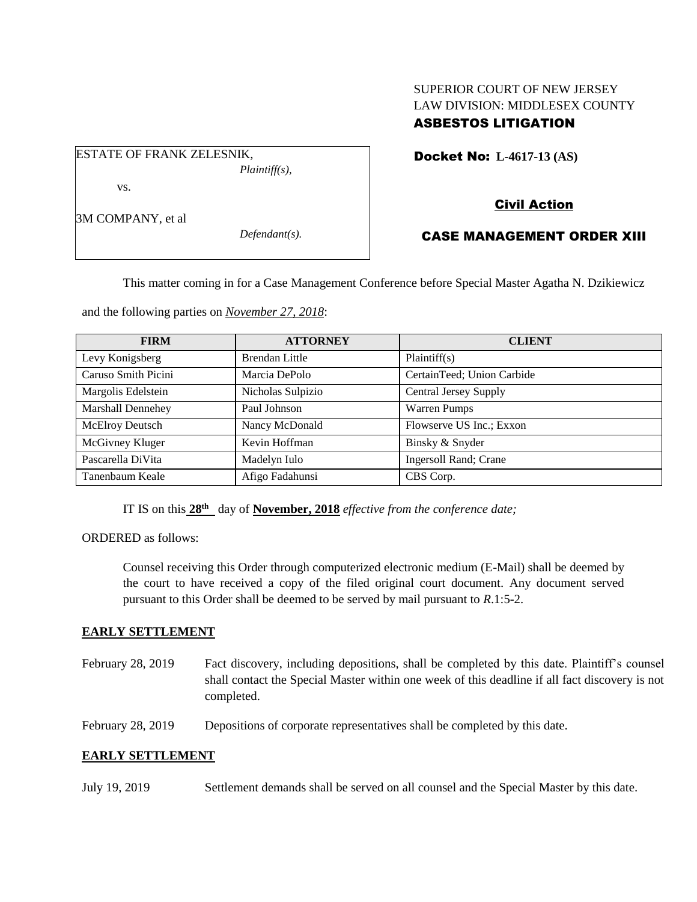# SUPERIOR COURT OF NEW JERSEY LAW DIVISION: MIDDLESEX COUNTY ASBESTOS LITIGATION

Docket No: **L-4617-13 (AS)** 

# Civil Action

# CASE MANAGEMENT ORDER XIII

This matter coming in for a Case Management Conference before Special Master Agatha N. Dzikiewicz

and the following parties on *November 27, 2018*:

| <b>FIRM</b>         | <b>ATTORNEY</b>   | <b>CLIENT</b>              |
|---------------------|-------------------|----------------------------|
| Levy Konigsberg     | Brendan Little    | Plaintiff(s)               |
| Caruso Smith Picini | Marcia DePolo     | CertainTeed; Union Carbide |
| Margolis Edelstein  | Nicholas Sulpizio | Central Jersey Supply      |
| Marshall Dennehey   | Paul Johnson      | <b>Warren Pumps</b>        |
| McElroy Deutsch     | Nancy McDonald    | Flowserve US Inc.; Exxon   |
| McGivney Kluger     | Kevin Hoffman     | Binsky & Snyder            |
| Pascarella DiVita   | Madelyn Iulo      | Ingersoll Rand; Crane      |
| Tanenbaum Keale     | Afigo Fadahunsi   | CBS Corp.                  |

IT IS on this  $28^{\text{th}}$  day of **November, 2018** *effective from the conference date*;

ORDERED as follows:

Counsel receiving this Order through computerized electronic medium (E-Mail) shall be deemed by the court to have received a copy of the filed original court document. Any document served pursuant to this Order shall be deemed to be served by mail pursuant to *R*.1:5-2.

#### **EARLY SETTLEMENT**

February 28, 2019 Fact discovery, including depositions, shall be completed by this date. Plaintiff's counsel shall contact the Special Master within one week of this deadline if all fact discovery is not completed.

February 28, 2019 Depositions of corporate representatives shall be completed by this date.

### **EARLY SETTLEMENT**

July 19, 2019 Settlement demands shall be served on all counsel and the Special Master by this date.

3M COMPANY, et al

*Defendant(s).*

## ESTATE OF FRANK ZELESNIK, *Plaintiff(s),*

vs.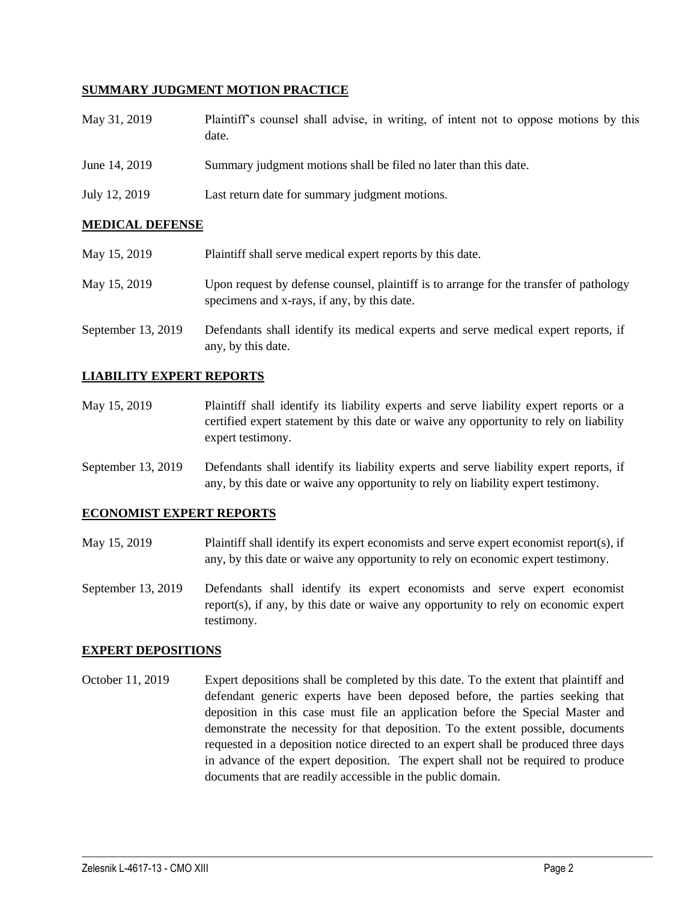### **SUMMARY JUDGMENT MOTION PRACTICE**

| May 31, 2019  | Plaintiff's counsel shall advise, in writing, of intent not to oppose motions by this<br>date. |
|---------------|------------------------------------------------------------------------------------------------|
| June 14, 2019 | Summary judgment motions shall be filed no later than this date.                               |
| July 12, 2019 | Last return date for summary judgment motions.                                                 |

### **MEDICAL DEFENSE**

| May 15, 2019       | Plaintiff shall serve medical expert reports by this date.                                                                            |
|--------------------|---------------------------------------------------------------------------------------------------------------------------------------|
| May 15, 2019       | Upon request by defense counsel, plaintiff is to arrange for the transfer of pathology<br>specimens and x-rays, if any, by this date. |
| September 13, 2019 | Defendants shall identify its medical experts and serve medical expert reports, if<br>any, by this date.                              |

### **LIABILITY EXPERT REPORTS**

- May 15, 2019 Plaintiff shall identify its liability experts and serve liability expert reports or a certified expert statement by this date or waive any opportunity to rely on liability expert testimony.
- September 13, 2019 Defendants shall identify its liability experts and serve liability expert reports, if any, by this date or waive any opportunity to rely on liability expert testimony.

#### **ECONOMIST EXPERT REPORTS**

- May 15, 2019 Plaintiff shall identify its expert economists and serve expert economist report(s), if any, by this date or waive any opportunity to rely on economic expert testimony.
- September 13, 2019 Defendants shall identify its expert economists and serve expert economist report(s), if any, by this date or waive any opportunity to rely on economic expert testimony.

#### **EXPERT DEPOSITIONS**

October 11, 2019 Expert depositions shall be completed by this date. To the extent that plaintiff and defendant generic experts have been deposed before, the parties seeking that deposition in this case must file an application before the Special Master and demonstrate the necessity for that deposition. To the extent possible, documents requested in a deposition notice directed to an expert shall be produced three days in advance of the expert deposition. The expert shall not be required to produce documents that are readily accessible in the public domain.

 $\_$  ,  $\_$  ,  $\_$  ,  $\_$  ,  $\_$  ,  $\_$  ,  $\_$  ,  $\_$  ,  $\_$  ,  $\_$  ,  $\_$  ,  $\_$  ,  $\_$  ,  $\_$  ,  $\_$  ,  $\_$  ,  $\_$  ,  $\_$  ,  $\_$  ,  $\_$  ,  $\_$  ,  $\_$  ,  $\_$  ,  $\_$  ,  $\_$  ,  $\_$  ,  $\_$  ,  $\_$  ,  $\_$  ,  $\_$  ,  $\_$  ,  $\_$  ,  $\_$  ,  $\_$  ,  $\_$  ,  $\_$  ,  $\_$  ,